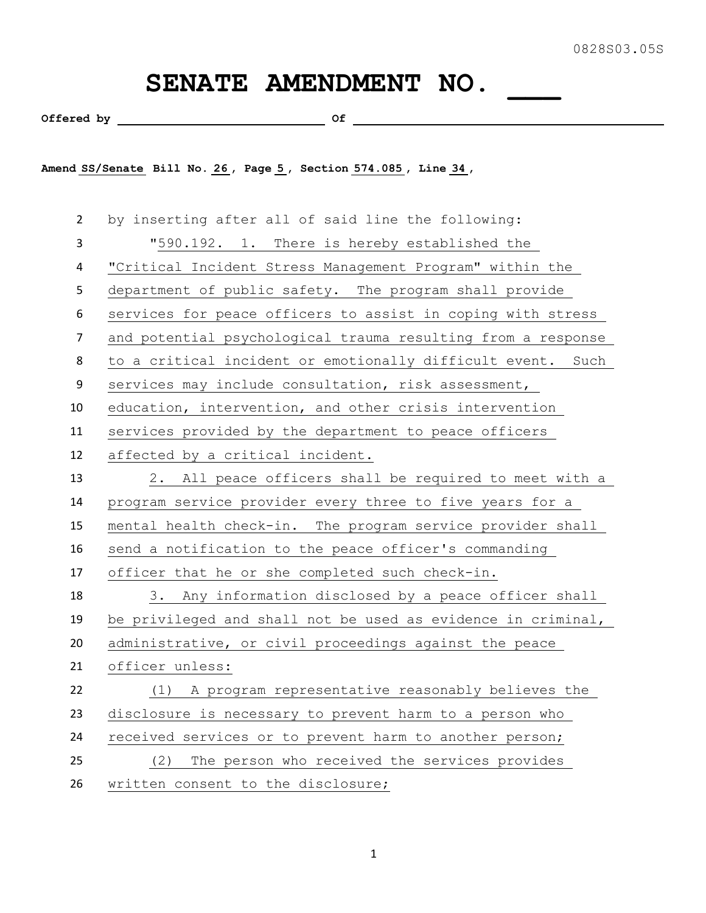## SENATE AMENDMENT NO.

Offered by  $\qquad \qquad$  Of  $\qquad \qquad$ 

**Amend SS/Senate Bill No. 26 , Page 5 , Section 574.085 , Line 34 ,** 

 by inserting after all of said line the following: "590.192. 1. There is hereby established the "Critical Incident Stress Management Program" within the department of public safety. The program shall provide services for peace officers to assist in coping with stress and potential psychological trauma resulting from a response to a critical incident or emotionally difficult event. Such services may include consultation, risk assessment, education, intervention, and other crisis intervention services provided by the department to peace officers affected by a critical incident. 2. All peace officers shall be required to meet with a program service provider every three to five years for a mental health check-in. The program service provider shall send a notification to the peace officer's commanding 17 officer that he or she completed such check-in. 3. Any information disclosed by a peace officer shall be privileged and shall not be used as evidence in criminal, administrative, or civil proceedings against the peace officer unless: (1) A program representative reasonably believes the disclosure is necessary to prevent harm to a person who received services or to prevent harm to another person; (2) The person who received the services provides written consent to the disclosure;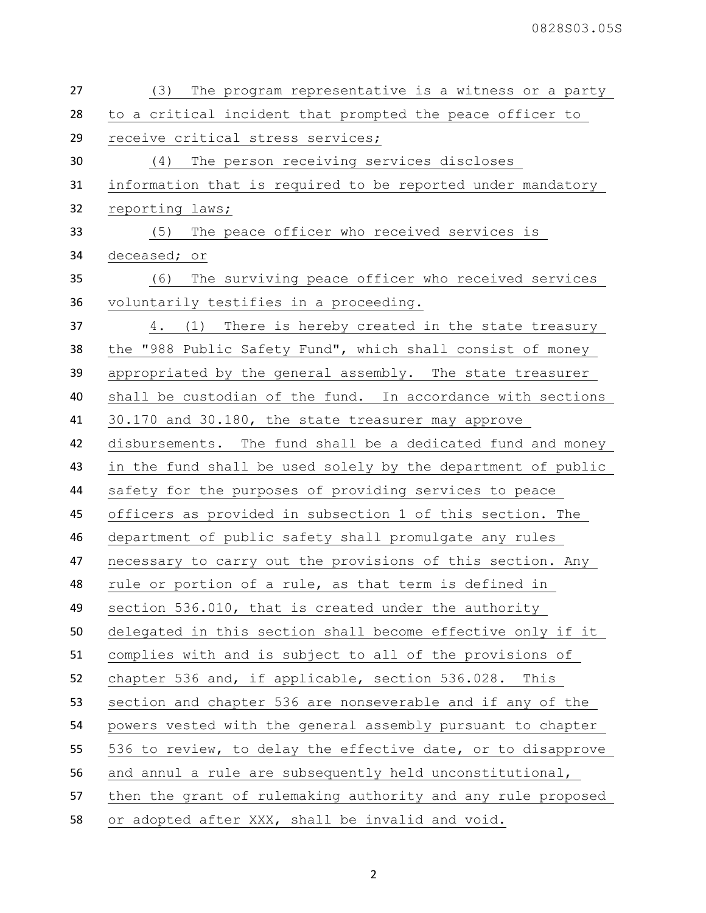| 27 | The program representative is a witness or a party<br>(3)    |
|----|--------------------------------------------------------------|
| 28 | to a critical incident that prompted the peace officer to    |
| 29 | receive critical stress services;                            |
| 30 | (4) The person receiving services discloses                  |
| 31 | information that is required to be reported under mandatory  |
| 32 | reporting laws;                                              |
| 33 | The peace officer who received services is<br>(5)            |
| 34 | deceased; or                                                 |
| 35 | The surviving peace officer who received services<br>(6)     |
| 36 | voluntarily testifies in a proceeding.                       |
| 37 | 4. (1) There is hereby created in the state treasury         |
| 38 | the "988 Public Safety Fund", which shall consist of money   |
| 39 | appropriated by the general assembly. The state treasurer    |
| 40 | shall be custodian of the fund. In accordance with sections  |
| 41 | 30.170 and 30.180, the state treasurer may approve           |
| 42 | disbursements. The fund shall be a dedicated fund and money  |
| 43 | in the fund shall be used solely by the department of public |
| 44 | safety for the purposes of providing services to peace       |
| 45 | officers as provided in subsection 1 of this section. The    |
| 46 | department of public safety shall promulgate any rules       |
| 47 | necessary to carry out the provisions of this section. Any   |
| 48 | rule or portion of a rule, as that term is defined in        |
| 49 | section 536.010, that is created under the authority         |
| 50 | delegated in this section shall become effective only if it  |
| 51 | complies with and is subject to all of the provisions of     |
| 52 | chapter 536 and, if applicable, section 536.028. This        |
| 53 | section and chapter 536 are nonseverable and if any of the   |
| 54 | powers vested with the general assembly pursuant to chapter  |
| 55 | 536 to review, to delay the effective date, or to disapprove |
| 56 | and annul a rule are subsequently held unconstitutional,     |
| 57 | then the grant of rulemaking authority and any rule proposed |
| 58 | or adopted after XXX, shall be invalid and void.             |